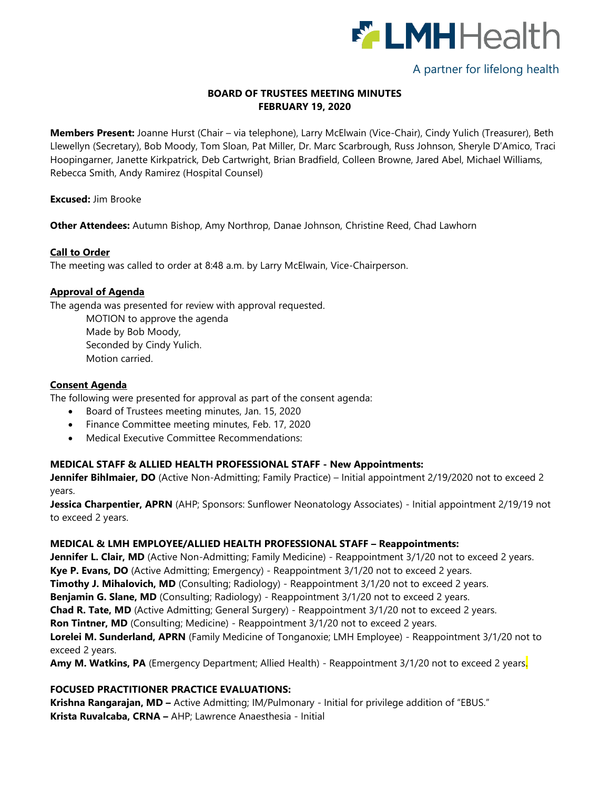

# A partner for lifelong health

## **BOARD OF TRUSTEES MEETING MINUTES FEBRUARY 19, 2020**

**Members Present:** Joanne Hurst (Chair – via telephone), Larry McElwain (Vice-Chair), Cindy Yulich (Treasurer), Beth Llewellyn (Secretary), Bob Moody, Tom Sloan, Pat Miller, Dr. Marc Scarbrough, Russ Johnson, Sheryle D'Amico, Traci Hoopingarner, Janette Kirkpatrick, Deb Cartwright, Brian Bradfield, Colleen Browne, Jared Abel, Michael Williams, Rebecca Smith, Andy Ramirez (Hospital Counsel)

**Excused:** Jim Brooke

**Other Attendees:** Autumn Bishop, Amy Northrop, Danae Johnson, Christine Reed, Chad Lawhorn

### **Call to Order**

The meeting was called to order at 8:48 a.m. by Larry McElwain, Vice-Chairperson.

#### **Approval of Agenda**

The agenda was presented for review with approval requested.

MOTION to approve the agenda Made by Bob Moody, Seconded by Cindy Yulich. Motion carried.

### **Consent Agenda**

The following were presented for approval as part of the consent agenda:

- Board of Trustees meeting minutes, Jan. 15, 2020
- Finance Committee meeting minutes, Feb. 17, 2020
- Medical Executive Committee Recommendations:

#### **MEDICAL STAFF & ALLIED HEALTH PROFESSIONAL STAFF - New Appointments:**

**Jennifer Bihlmaier, DO** (Active Non-Admitting; Family Practice) – Initial appointment 2/19/2020 not to exceed 2 years.

**Jessica Charpentier, APRN** (AHP; Sponsors: Sunflower Neonatology Associates) - Initial appointment 2/19/19 not to exceed 2 years.

#### **MEDICAL & LMH EMPLOYEE/ALLIED HEALTH PROFESSIONAL STAFF – Reappointments:**

**Jennifer L. Clair, MD** (Active Non-Admitting; Family Medicine) - Reappointment 3/1/20 not to exceed 2 years. **Kye P. Evans, DO** (Active Admitting; Emergency) - Reappointment 3/1/20 not to exceed 2 years. **Timothy J. Mihalovich, MD** (Consulting; Radiology) - Reappointment 3/1/20 not to exceed 2 years. **Benjamin G. Slane, MD** (Consulting; Radiology) - Reappointment 3/1/20 not to exceed 2 years. **Chad R. Tate, MD** (Active Admitting; General Surgery) - Reappointment 3/1/20 not to exceed 2 years. **Ron Tintner, MD** (Consulting; Medicine) - Reappointment 3/1/20 not to exceed 2 years. **Lorelei M. Sunderland, APRN** (Family Medicine of Tonganoxie; LMH Employee) - Reappointment 3/1/20 not to exceed 2 years.

**Amy M. Watkins, PA** (Emergency Department; Allied Health) - Reappointment 3/1/20 not to exceed 2 years.

### **FOCUSED PRACTITIONER PRACTICE EVALUATIONS:**

**Krishna Rangarajan, MD –** Active Admitting; IM/Pulmonary - Initial for privilege addition of "EBUS." **Krista Ruvalcaba, CRNA –** AHP; Lawrence Anaesthesia - Initial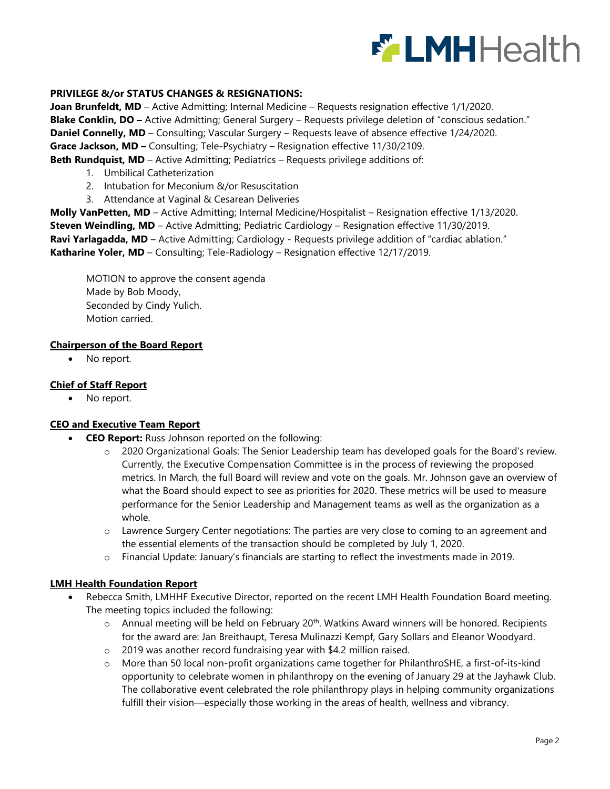

### **PRIVILEGE &/or STATUS CHANGES & RESIGNATIONS:**

**Joan Brunfeldt, MD** – Active Admitting; Internal Medicine – Requests resignation effective 1/1/2020. **Blake Conklin, DO –** Active Admitting; General Surgery – Requests privilege deletion of "conscious sedation." **Daniel Connelly, MD** – Consulting; Vascular Surgery – Requests leave of absence effective 1/24/2020. **Grace Jackson, MD –** Consulting; Tele-Psychiatry – Resignation effective 11/30/2109. **Beth Rundquist, MD** – Active Admitting; Pediatrics – Requests privilege additions of:

- 1. Umbilical Catheterization
- 2. Intubation for Meconium &/or Resuscitation
- 3. Attendance at Vaginal & Cesarean Deliveries

**Molly VanPetten, MD** – Active Admitting; Internal Medicine/Hospitalist – Resignation effective 1/13/2020. **Steven Weindling, MD** – Active Admitting; Pediatric Cardiology – Resignation effective 11/30/2019. **Ravi Yarlagadda, MD** – Active Admitting; Cardiology - Requests privilege addition of "cardiac ablation." **Katharine Yoler, MD** – Consulting; Tele-Radiology – Resignation effective 12/17/2019.

MOTION to approve the consent agenda Made by Bob Moody, Seconded by Cindy Yulich. Motion carried.

#### **Chairperson of the Board Report**

• No report.

### **Chief of Staff Report**

• No report.

### **CEO and Executive Team Report**

- **CEO Report:** Russ Johnson reported on the following:
	- 2020 Organizational Goals: The Senior Leadership team has developed goals for the Board's review. Currently, the Executive Compensation Committee is in the process of reviewing the proposed metrics. In March, the full Board will review and vote on the goals. Mr. Johnson gave an overview of what the Board should expect to see as priorities for 2020. These metrics will be used to measure performance for the Senior Leadership and Management teams as well as the organization as a whole.
	- o Lawrence Surgery Center negotiations: The parties are very close to coming to an agreement and the essential elements of the transaction should be completed by July 1, 2020.
	- o Financial Update: January's financials are starting to reflect the investments made in 2019.

#### **LMH Health Foundation Report**

- Rebecca Smith, LMHHF Executive Director, reported on the recent LMH Health Foundation Board meeting. The meeting topics included the following:
	- $\circ$  Annual meeting will be held on February 20<sup>th</sup>. Watkins Award winners will be honored. Recipients for the award are: Jan Breithaupt, Teresa Mulinazzi Kempf, Gary Sollars and Eleanor Woodyard.
	- o 2019 was another record fundraising year with \$4.2 million raised.
	- o More than 50 local non-profit organizations came together for PhilanthroSHE, a first-of-its-kind opportunity to celebrate women in philanthropy on the evening of January 29 at the Jayhawk Club. The collaborative event celebrated the role philanthropy plays in helping community organizations fulfill their vision—especially those working in the areas of health, wellness and vibrancy.